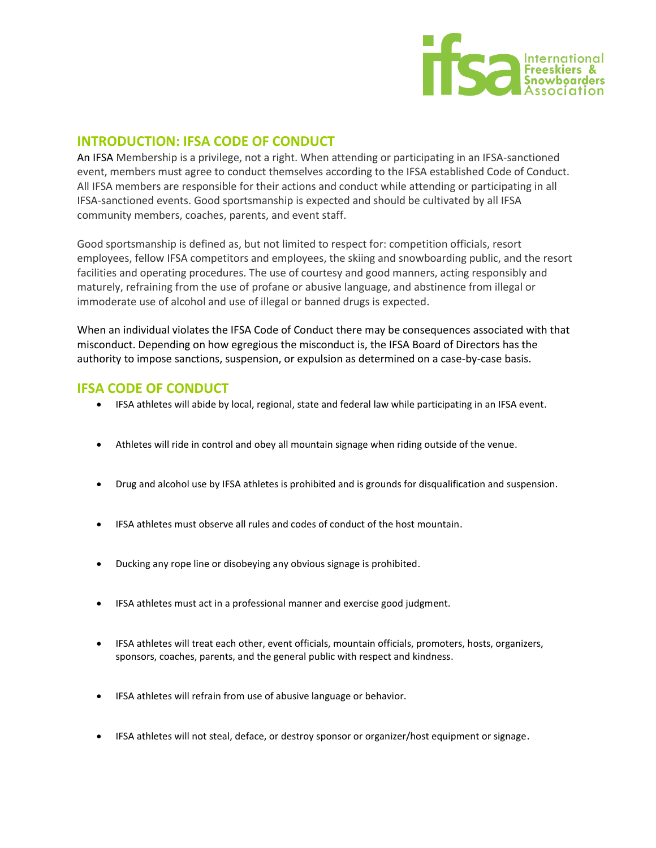

## **INTRODUCTION: IFSA CODE OF CONDUCT**

An IFSA Membership is a privilege, not a right. When attending or participating in an IFSA-sanctioned event, members must agree to conduct themselves according to the IFSA established Code of Conduct. All IFSA members are responsible for their actions and conduct while attending or participating in all IFSA-sanctioned events. Good sportsmanship is expected and should be cultivated by all IFSA community members, coaches, parents, and event staff.

Good sportsmanship is defined as, but not limited to respect for: competition officials, resort employees, fellow IFSA competitors and employees, the skiing and snowboarding public, and the resort facilities and operating procedures. The use of courtesy and good manners, acting responsibly and maturely, refraining from the use of profane or abusive language, and abstinence from illegal or immoderate use of alcohol and use of illegal or banned drugs is expected.

When an individual violates the IFSA Code of Conduct there may be consequences associated with that misconduct. Depending on how egregious the misconduct is, the IFSA Board of Directors has the authority to impose sanctions, suspension, or expulsion as determined on a case-by-case basis.

## **IFSA CODE OF CONDUCT**

- IFSA athletes will abide by local, regional, state and federal law while participating in an IFSA event.
- Athletes will ride in control and obey all mountain signage when riding outside of the venue.
- Drug and alcohol use by IFSA athletes is prohibited and is grounds for disqualification and suspension.
- IFSA athletes must observe all rules and codes of conduct of the host mountain.
- Ducking any rope line or disobeying any obvious signage is prohibited.
- IFSA athletes must act in a professional manner and exercise good judgment.
- IFSA athletes will treat each other, event officials, mountain officials, promoters, hosts, organizers, sponsors, coaches, parents, and the general public with respect and kindness.
- IFSA athletes will refrain from use of abusive language or behavior.
- IFSA athletes will not steal, deface, or destroy sponsor or organizer/host equipment or signage.